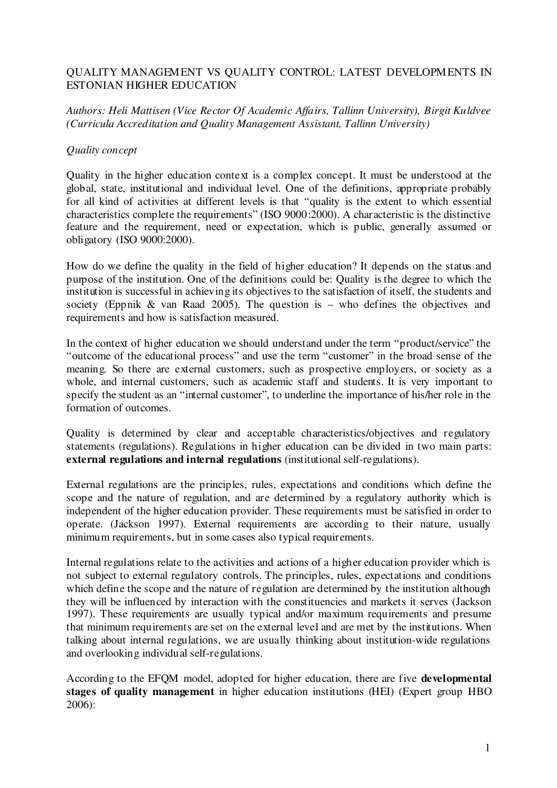# QUALITY MANAGEMENT VS QUALITY CONTROL: LATEST DEVELOPMENTS IN ESTONIAN HIGHER EDUCATION

# *Authors: Heli Mattisen (Vice Rector Of Academic Af airs, Tallinn University), Birgit Kuldvee (Curricula Accreditation and Quality Management Assistant, Tallinn University)*

# *Quality concept*

Quality in the higher education context is a complex concept. It must be understood at the global, state, institutional and individual level. One of the definitions, appropriate probably for all kind of activities at different levels is that "quality is the extent to which essential characteristics complete the requirements" (ISO 9000:2000). A characteristic is the distinctive feature and the requirement, need or expectation, which is public, generally assumed or obligatory (ISO 9000:2000).

How do we define the quality in the field of higher education? It depends on the status and purpose of the institution. One of the definitions could be: Quality is the degree to which the institution is successful in achieving its objectives to the satisfaction of itself, the students and society (Eppnik & van Raad 2005). The question is – who defines the objectives and requirements and how is satisfaction measured.

In the context of higher education we should understand under the term "product/service" the "outcome of the educational process" and use the term "customer" in the broad sense of the meaning. So there are external customers, such as prospective employers, or society as a whole, and internal customers, such as academic staff and students. It is very important to specify the student as an "internal customer", to underline the importance of his/her role in the formation of outcomes.

Quality is determined by clear and acceptable characteristics/objectives and regulatory statements (regulations). Regulations in higher education can be divided in two main parts: **external regulations and internal regulations** (institutional self-regulations).

External regulations are the principles, rules, expectations and conditions which define the scope and the nature of regulation, and are determined by a regulatory authority which is independent of the higher education provider. These requirements must be satisfied in order to operate. (Jackson 1997). External requirements are according to their nature, usually minimum requirements, but in some cases also typical requirements.

Internal regulations relate to the activities and actions of a higher education provider which is not subject to external regulatory controls. The principles, rules, expectations and conditions which define the scope and the nature of regulation are determined by the institution although they will be influenced by interaction with the constituencies and markets it serves (Jackson 1997). These requirements are usually typical and/or maximum requirements and presume that minimum requirements are set on the external level and are met by the institutions. When talking about internal regulations, we are usually thinking about institution-wide regulations and overlooking individual self-regulations.

According to the EFQM model, adopted for higher education, there are five **developmental stages of quality management** in higher education institutions (HEI) (Expert group HBO 2006):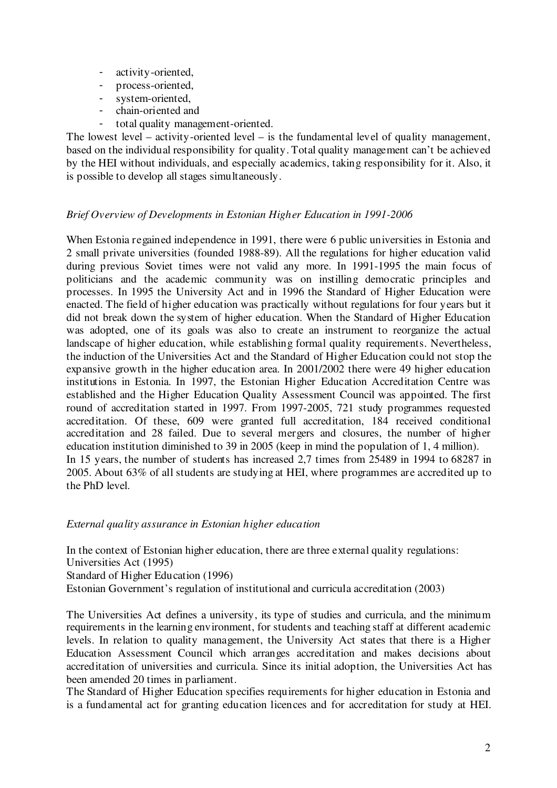- activity-oriented,
- process-oriented,
- system-oriented,
- chain-oriented and
- total quality management-oriented.

The lowest level – activity-oriented level – is the fundamental level of quality management, based on the individual responsibility for quality. Total quality management can't be achieved by the HEI without individuals, and especially academics, taking responsibility for it. Also, it is possible to develop all stages simultaneously.

# *Brief Overview of Developments in Estonian Higher Education in 1991-2006*

When Estonia regained independence in 1991, there were 6 public universities in Estonia and 2 small private universities (founded 1988-89). All the regulations for higher education valid during previous Soviet times were not valid any more. In 1991-1995 the main focus of politicians and the academic community was on instilling democratic principles and processes. In 1995 the University Act and in 1996 the Standard of Higher Education were enacted. The field of higher education was practically without regulations for four years but it did not break down the system of higher education. When the Standard of Higher Education was adopted, one of its goals was also to create an instrument to reorganize the actual landscape of higher education, while establishing formal quality requirements. Nevertheless, the induction of the Universities Act and the Standard of Higher Education could not stop the expansive growth in the higher education area. In 2001/2002 there were 49 higher education institutions in Estonia. In 1997, the Estonian Higher Education Accreditation Centre was established and the Higher Education Quality Assessment Council was appointed. The first round of accreditation started in 1997. From 1997-2005, 721 study programmes requested accreditation. Of these, 609 were granted full accreditation, 184 received conditional accreditation and 28 failed. Due to several mergers and closures, the number of higher education institution diminished to 39 in 2005 (keep in mind the population of 1, 4 million). In 15 years, the number of students has increased 2,7 times from 25489 in 1994 to 68287 in 2005. About 63% of all students are studying at HEI, where programmes are accredited up to the PhD level.

## *External quality assurance in Estonian higher education*

In the context of Estonian higher education, there are three external quality regulations: Universities Act (1995)

Standard of Higher Education (1996)

Estonian Government's regulation of institutional and curricula accreditation (2003)

The Universities Act defines a university, its type of studies and curricula, and the minimum requirements in the learning environment, for students and teaching staff at different academic levels. In relation to quality management, the University Act states that there is a Higher Education Assessment Council which arranges accreditation and makes decisions about accreditation of universities and curricula. Since its initial adoption, the Universities Act has been amended 20 times in parliament.

The Standard of Higher Education specifies requirements for higher education in Estonia and is a fundamental act for granting education licences and for accreditation for study at HEI.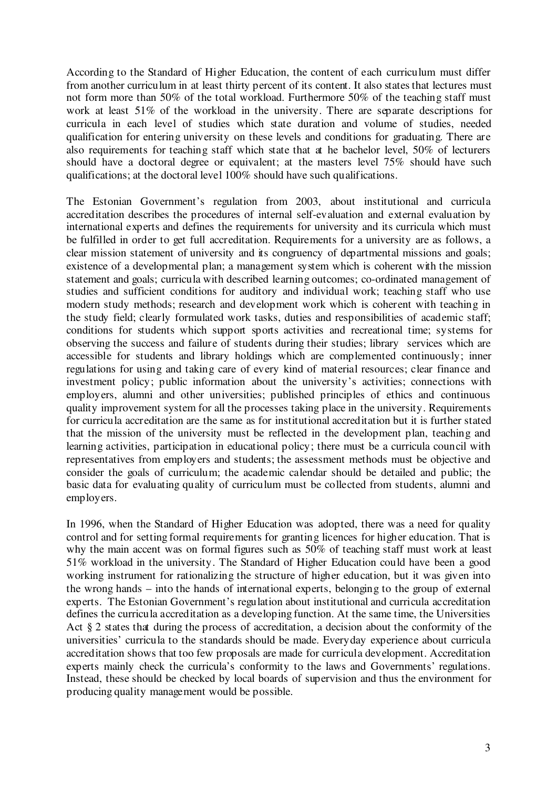According to the Standard of Higher Education, the content of each curriculum must differ from another curriculum in at least thirty percent of its content. It also states that lectures must not form more than 50% of the total workload. Furthermore 50% of the teaching staff must work at least 51% of the workload in the university. There are separate descriptions for curricula in each level of studies which state duration and volume of studies, needed qualification for entering university on these levels and conditions for graduating. There are also requirements for teaching staff which state that at he bachelor level, 50% of lecturers should have a doctoral degree or equivalent; at the masters level 75% should have such qualifications; at the doctoral level 100% should have such qualifications.

The Estonian Government's regulation from 2003, about institutional and curricula accreditation describes the procedures of internal self-evaluation and external evaluation by international experts and defines the requirements for university and its curricula which must be fulfilled in order to get full accreditation. Requirements for a university are as follows, a clear mission statement of university and its congruency of departmental missions and goals; existence of a developmental plan; a management system which is coherent with the mission statement and goals; curricula with described learning outcomes; co-ordinated management of studies and sufficient conditions for auditory and individual work; teaching staff who use modern study methods; research and development work which is coherent with teaching in the study field; clearly formulated work tasks, duties and responsibilities of academic staff; conditions for students which support sports activities and recreational time; systems for observing the success and failure of students during their studies; library services which are accessible for students and library holdings which are complemented continuously; inner regulations for using and taking care of every kind of material resources; clear finance and investment policy; public information about the university's activities; connections with employers, alumni and other universities; published principles of ethics and continuous quality improvement system for all the processes taking place in the university. Requirements for curricula accreditation are the same as for institutional accreditation but it is further stated that the mission of the university must be reflected in the development plan, teaching and learning activities, participation in educational policy; there must be a curricula council with representatives from employers and students; the assessment methods must be objective and consider the goals of curriculum; the academic calendar should be detailed and public; the basic data for evaluating quality of curriculum must be collected from students, alumni and employers.

In 1996, when the Standard of Higher Education was adopted, there was a need for quality control and for setting formal requirements for granting licences for higher education. That is why the main accent was on formal figures such as 50% of teaching staff must work at least 51% workload in the university. The Standard of Higher Education could have been a good working instrument for rationalizing the structure of higher education, but it was given into the wrong hands – into the hands of international experts, belonging to the group of external experts. The Estonian Government's regulation about institutional and curricula accreditation defines the curricula accreditation as a developing function. At the same time, the Universities Act § 2 states that during the process of accreditation, a decision about the conformity of the universities' curricula to the standards should be made. Everyday experience about curricula accreditation shows that too few proposals are made for curricula development. Accreditation experts mainly check the curricula's conformity to the laws and Governments' regulations. Instead, these should be checked by local boards of supervision and thus the environment for producing quality management would be possible.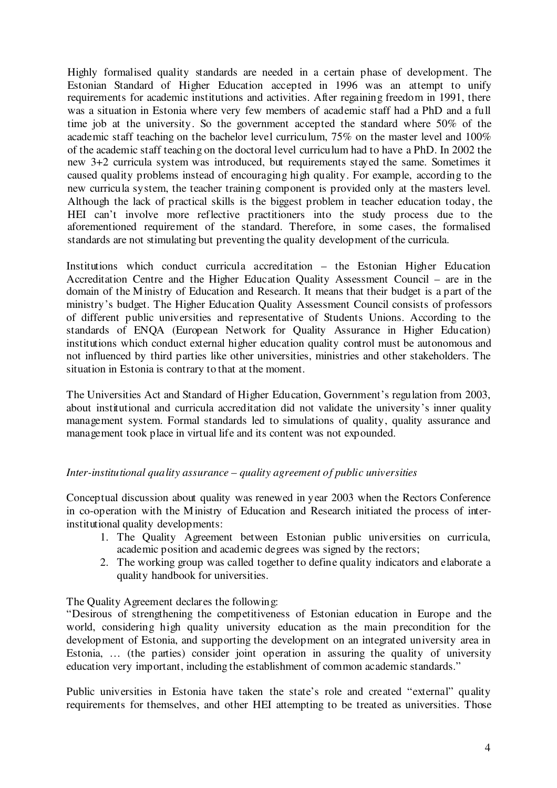Highly formalised quality standards are needed in a certain phase of development. The Estonian Standard of Higher Education accepted in 1996 was an attempt to unify requirements for academic institutions and activities. After regaining freedom in 1991, there was a situation in Estonia where very few members of academic staff had a PhD and a full time job at the university. So the government accepted the standard where 50% of the academic staff teaching on the bachelor level curriculum, 75% on the master level and 100% of the academic staff teaching on the doctoral level curriculum had to have a PhD. In 2002 the new 3+2 curricula system was introduced, but requirements stayed the same. Sometimes it caused quality problems instead of encouraging high quality. For example, according to the new curricula system, the teacher training component is provided only at the masters level. Although the lack of practical skills is the biggest problem in teacher education today, the HEI can't involve more reflective practitioners into the study process due to the aforementioned requirement of the standard. Therefore, in some cases, the formalised standards are not stimulating but preventing the quality development of the curricula.

Institutions which conduct curricula accreditation – the Estonian Higher Education Accreditation Centre and the Higher Education Quality Assessment Council – are in the domain of the Ministry of Education and Research. It means that their budget is a part of the ministry's budget. The Higher Education Quality Assessment Council consists of professors of different public universities and representative of Students Unions. According to the standards of ENQA (European Network for Quality Assurance in Higher Education) institutions which conduct external higher education quality control must be autonomous and not influenced by third parties like other universities, ministries and other stakeholders. The situation in Estonia is contrary to that at the moment.

The Universities Act and Standard of Higher Education, Government's regulation from 2003, about institutional and curricula accreditation did not validate the university's inner quality management system. Formal standards led to simulations of quality, quality assurance and management took place in virtual life and its content was not expounded.

## *Inter-institutional quality assurance – quality agreement of public universities*

Conceptual discussion about quality was renewed in year 2003 when the Rectors Conference in co-operation with the Ministry of Education and Research initiated the process of interinstitutional quality developments:

- 1. The Quality Agreement between Estonian public universities on curricula, academic position and academic degrees was signed by the rectors;
- 2. The working group was called together to define quality indicators and elaborate a quality handbook for universities.

The Quality Agreement declares the following:

"Desirous of strengthening the competitiveness of Estonian education in Europe and the world, considering high quality university education as the main precondition for the development of Estonia, and supporting the development on an integrated university area in Estonia, … (the parties) consider joint operation in assuring the quality of university education very important, including the establishment of common academic standards."

Public universities in Estonia have taken the state's role and created "external" quality requirements for themselves, and other HEI attempting to be treated as universities. Those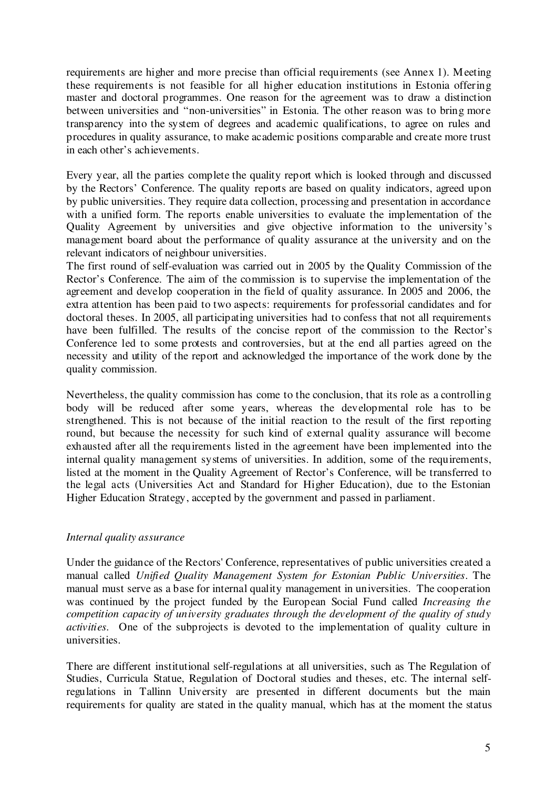requirements are higher and more precise than official requirements (see Annex 1). Meeting these requirements is not feasible for all higher education institutions in Estonia offering master and doctoral programmes. One reason for the agreement was to draw a distinction between universities and "non-universities" in Estonia. The other reason was to bring more transparency into the system of degrees and academic qualifications, to agree on rules and procedures in quality assurance, to make academic positions comparable and create more trust in each other's achievements.

Every year, all the parties complete the quality report which is looked through and discussed by the Rectors' Conference. The quality reports are based on quality indicators, agreed upon by public universities. They require data collection, processing and presentation in accordance with a unified form. The reports enable universities to evaluate the implementation of the Quality Agreement by universities and give objective information to the university's management board about the performance of quality assurance at the university and on the relevant indicators of neighbour universities.

The first round of self-evaluation was carried out in 2005 by the Quality Commission of the Rector's Conference. The aim of the commission is to supervise the implementation of the agreement and develop cooperation in the field of quality assurance. In 2005 and 2006, the extra attention has been paid to two aspects: requirements for professorial candidates and for doctoral theses. In 2005, all participating universities had to confess that not all requirements have been fulfilled. The results of the concise report of the commission to the Rector's Conference led to some protests and controversies, but at the end all parties agreed on the necessity and utility of the report and acknowledged the importance of the work done by the quality commission.

Nevertheless, the quality commission has come to the conclusion, that its role as a controlling body will be reduced after some years, whereas the developmental role has to be strengthened. This is not because of the initial reaction to the result of the first reporting round, but because the necessity for such kind of external quality assurance will become exhausted after all the requirements listed in the agreement have been implemented into the internal quality management systems of universities. In addition, some of the requirements, listed at the moment in the Quality Agreement of Rector's Conference, will be transferred to the legal acts (Universities Act and Standard for Higher Education), due to the Estonian Higher Education Strategy, accepted by the government and passed in parliament.

## *Internal quality assurance*

Under the guidance of the Rectors'Conference, representatives of public universities created a manual called *Unified Quality Management System for Estonian Public Universities*. The manual must serve as a base for internal quality management in universities. The cooperation was continued by the project funded by the European Social Fund called *Increasing the competition capacity of university graduates through the development of the quality of study activities.* One of the subprojects is devoted to the implementation of quality culture in universities.

There are different institutional self-regulations at all universities, such as The Regulation of Studies, Curricula Statue, Regulation of Doctoral studies and theses, etc. The internal selfregulations in Tallinn University are presented in different documents but the main requirements for quality are stated in the quality manual, which has at the moment the status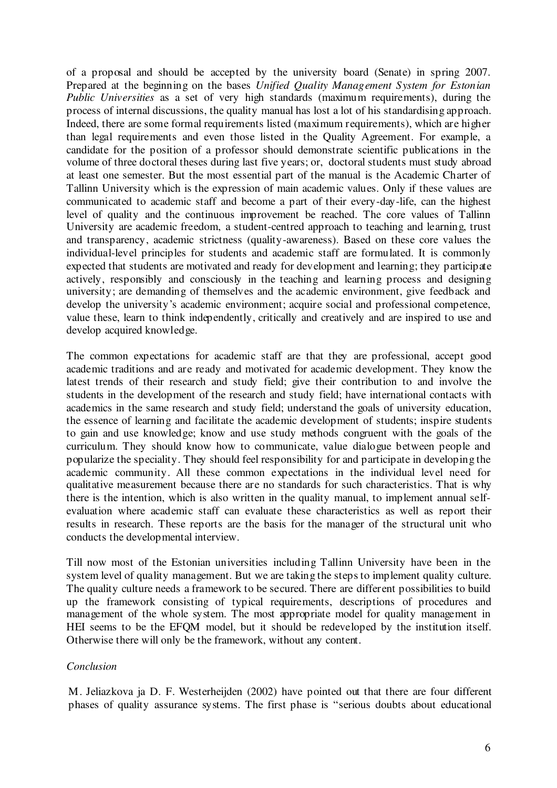of a proposal and should be accepted by the university board (Senate) in spring 2007. Prepared at the beginning on the bases *Unified Quality Management System for Estonian Public Universities* as a set of very high standards (maximum requirements), during the process of internal discussions, the quality manual has lost a lot of his standardising approach. Indeed, there are some formal requirements listed (maximum requirements), which are higher than legal requirements and even those listed in the Quality Agreement. For example, a candidate for the position of a professor should demonstrate scientific publications in the volume of three doctoral theses during last five years; or, doctoral students must study abroad at least one semester. But the most essential part of the manual is the Academic Charter of Tallinn University which is the expression of main academic values. Only if these values are communicated to academic staff and become a part of their every-day-life, can the highest level of quality and the continuous improvement be reached. The core values of Tallinn University are academic freedom, a student-centred approach to teaching and learning, trust and transparency, academic strictness (quality-awareness). Based on these core values the individual-level principles for students and academic staff are formulated. It is commonly expected that students are motivated and ready for development and learning; they participate actively, responsibly and consciously in the teaching and learning process and designing university; are demanding of themselves and the academic environment, give feedback and develop the university's academic environment; acquire social and professional competence, value these, learn to think independently, critically and creatively and are inspired to use and develop acquired knowledge.

The common expectations for academic staff are that they are professional, accept good academic traditions and are ready and motivated for academic development. They know the latest trends of their research and study field; give their contribution to and involve the students in the development of the research and study field; have international contacts with academics in the same research and study field; understand the goals of university education, the essence of learning and facilitate the academic development of students; inspire students to gain and use knowledge; know and use study methods congruent with the goals of the curriculum. They should know how to communicate, value dialogue between people and popularize the speciality. They should feel responsibility for and participate in developing the academic community. All these common expectations in the individual level need for qualitative measurement because there are no standards for such characteristics. That is why there is the intention, which is also written in the quality manual, to implement annual selfevaluation where academic staff can evaluate these characteristics as well as report their results in research. These reports are the basis for the manager of the structural unit who conducts the developmental interview.

Till now most of the Estonian universities including Tallinn University have been in the system level of quality management. But we are taking the steps to implement quality culture. The quality culture needs a framework to be secured. There are different possibilities to build up the framework consisting of typical requirements, descriptions of procedures and management of the whole system. The most appropriate model for quality management in HEI seems to be the EFQM model, but it should be redeveloped by the institution itself. Otherwise there will only be the framework, without any content.

## *Conclusion*

M. Jeliazkova ja D. F. Westerheijden (2002) have pointed out that there are four different phases of quality assurance systems. The first phase is "serious doubts about educational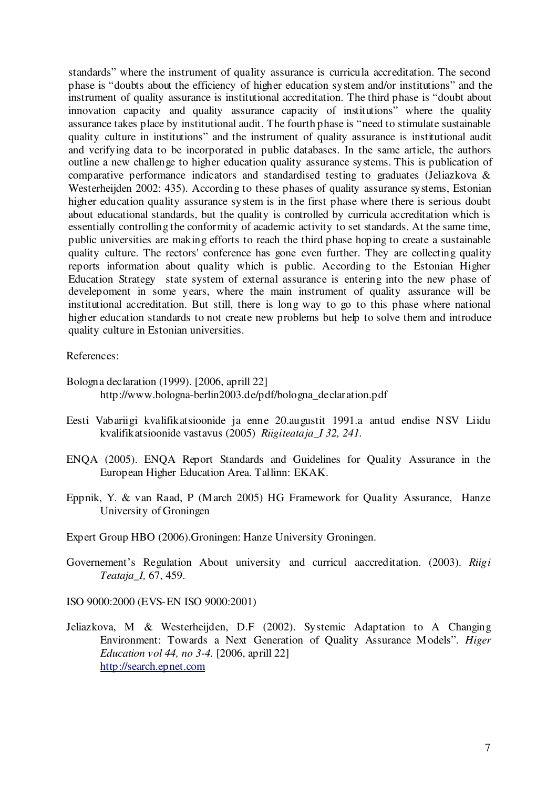standards" where the instrument of quality assurance is curricula accreditation. The second phase is "doubts about the efficiency of higher education system and/or institutions" and the instrument of quality assurance is institutional accreditation. The third phase is "doubt about innovation capacity and quality assurance capacity of institutions" where the quality assurance takes place by institutional audit. The fourth phase is "need to stimulate sustainable quality culture in institutions" and the instrument of quality assurance is institutional audit and verifying data to be incorporated in public databases. In the same article, the authors outline a new challenge to higher education quality assurance systems. This is publication of comparative performance indicators and standardised testing to graduates (Jeliazkova & Westerheijden 2002: 435). According to these phases of quality assurance systems, Estonian higher education quality assurance system is in the first phase where there is serious doubt about educational standards, but the quality is controlled by curricula accreditation which is essentially controlling the conformity of academic activity to set standards. At the same time, public universities are making efforts to reach the third phase hoping to create a sustainable quality culture. The rectors' conference has gone even further. They are collecting quality reports information about quality which is public. According to the Estonian Higher Education Strategy state system of external assurance is entering into the new phase of develepoment in some years, where the main instrument of quality assurance will be institutional accreditation. But still, there is long way to go to this phase where national higher education standards to not create new problems but help to solve them and introduce quality culture in Estonian universities.

References:

- Bologna declaration (1999). [2006, aprill 22] http://www.bologna-berlin2003.de/pdf/bologna\_declaration.pdf
- Eesti Vabariigi kvalifikatsioonide ja enne 20.augustit 1991.a antud endise NSV Liidu kvalifikatsioonide vastavus (2005) *Riigiteataja\_I 32, 241.*
- ENQA (2005). ENQA Report Standards and Guidelines for Quality Assurance in the European Higher Education Area. Tallinn: EKAK.
- Eppnik, Y. & van Raad, P (March 2005) HG Framework for Quality Assurance, Hanze University of Groningen
- Expert Group HBO (2006).Groningen: Hanze University Groningen.
- Governement's Regulation About university and curricul aaccreditation. (2003). *Riigi Teataja\_I,* 67, 459.

ISO 9000:2000 (EVS-EN ISO 9000:2001)

Jeliazkova, M & Westerheijden, D.F (2002). Systemic Adaptation to A Changing Environment: Towards a Next Generation of Quality Assurance Models". *Higer Education vol 44, no 3-4.* [2006, aprill 22] http://search.epnet.com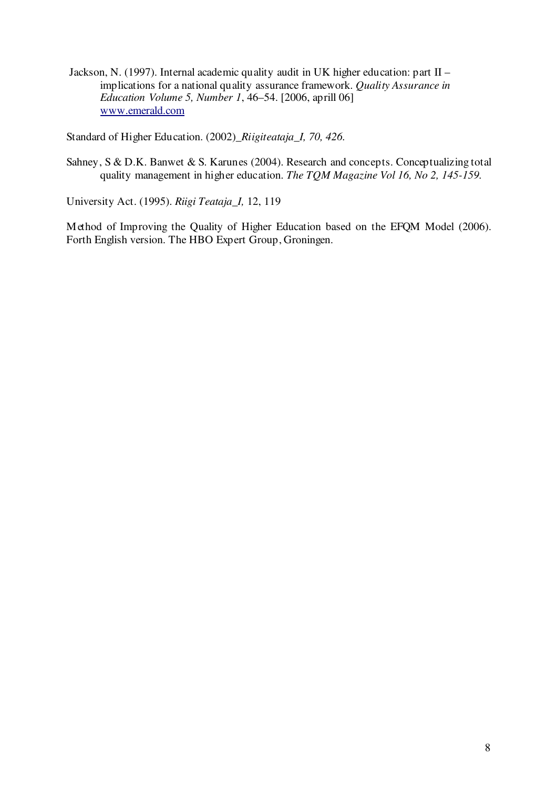Jackson, N. (1997). Internal academic quality audit in UK higher education: part II – implications for a national quality assurance framework. *Quality Assurance in Education Volume 5, Number 1*, 46–54. [2006, aprill 06] www.emerald.com

Standard of Higher Education. (2002)\_*Riigiteataja\_I, 70, 426.*

Sahney, S & D.K. Banwet & S. Karunes (2004). Research and concepts. Conceptualizing total quality management in higher education. *The TQM Magazine Vol 16, No 2, 145-159.*

University Act. (1995). *Riigi Teataja\_I,* 12, 119

Method of Improving the Quality of Higher Education based on the EFQM Model (2006). Forth English version. The HBO Expert Group, Groningen.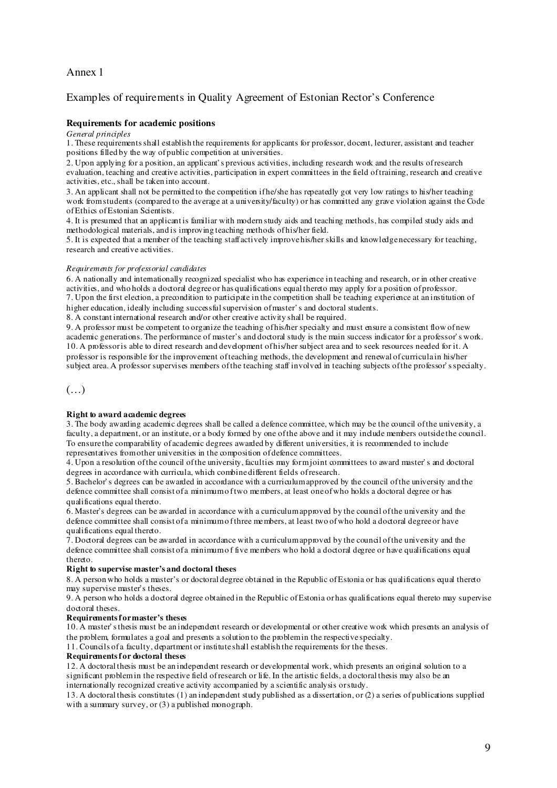## Annex 1

## Examples of requirements in Quality Agreement of Estonian Rector's Conference

### **Requirements for academic positions**

### *General principles*

1. These requirementsshall establish the requirements for applicants for professor, docent, lecturer, assistant and teacher positions filled by the way ofpublic competition at universities.

2. Upon applying for a position, an applicant's previous activities, including research work and the results ofresearch evaluation, teaching and creative activities, participation in expert committees in the field oftraining, research and creative activities, etc., shall be taken into account.

3. An applicant shall not be permitted to the competition ifhe/she has repeatedly got very low ratings to his/her teaching work fromstudents (compared to the average at a university/faculty) or has committed any grave violation against the Code ofEthics ofEstonian Scientists.

4. It is presumed that an applicant is familiar with modern study aids and teaching methods, has compiled study aids and methodological materials, and is improving teaching methods ofhis/her field.

5. It is expected that a member of the teaching staff actively improvehis/her skills and knowledgenecessary for teaching, research and creative activities.

#### *Requirements for professorial candidates*

6. A nationally and internationally recognized specialist who has experience in teaching and research, or in other creative activities, and who holds a doctoral degreeor has qualifications equal thereto may apply for a position ofprofessor. 7. Upon the first election, a precondition to participate in the competition shall be teaching experience at an institution of higher education, ideally including successful supervision of master's and doctoral students.

8. A constant international research and/or other creative activity shall be required.

9. A professor must be competent to organize the teaching ofhis/her specialty and must ensure a consistent flow ofnew academic generations. The performance of master's and doctoral study is the main success indicator for a professor's work. 10. A professoris able to direct research and development ofhis/her subject area and to seek resources needed for it. A professor is responsible for the improvement ofteaching methods, the development and renewal of curricula in his/her subject area. A professor supervises members ofthe teaching staff involved in teaching subjects ofthe professor'sspecialty.

## $(\ldots)$

### **Right to award academic degrees**

3. The body awarding academic degrees shall be called a defence committee, which may be the council ofthe university, a faculty, a department, or an institute, or a body formed by one ofthe above and it may include members outside the council. To ensure the comparability of academic degrees awarded by different universities, it is recommended to include representatives fromother universities in the composition ofdefence committees.

4. Upon a resolution ofthe council ofthe university, faculties may formjoint committees to award master's and doctoral degrees in accordance with curricula, which combinedifferent fields of research.

5. Bachelor's degrees can be awarded in accordance with a curriculumapproved by the council ofthe university and the defence committee shall consist of a minimumo ftwo members, at least oneofwho holds a doctoral degree or has qualifications equal thereto.

6. Master's degrees can be awarded in accordance with a curriculumapproved by the council ofthe university and the defence committee shall consist of a minimumo fthree members, at least two ofwho hold a doctoral degreeor have qualifications equal thereto.

7. Doctoral degrees can be awarded in accordance with a curriculumapproved by the council ofthe university and the defence committee shall consist of a minimum of five members who hold a doctoral degree or have qualifications equal thereto.

### **Right to supervise master's and doctoral theses**

8. A person who holds a master's or doctoral degree obtained in the Republic ofEstonia or has qualifications equal thereto may supervise master's theses.

9. A person who holds a doctoral degree obtained in the Republic ofEstonia orhas qualifications equal thereto may supervise doctoral theses.

### **Requirementsformaster's theses**

10. A master'sthesis must be an independent research or developmental or other creative work which presents an analysis of the problem, formulates a goal and presents a solution to the problemin the respective specialty.

11. Councils of a faculty, department or institute shall establish the requirements for the theses.

#### **Requirementsfor doctoral theses**

12. A doctoral thesis must be an independent research or developmental work, which presents an original solution to a significant problem in the respective field of research or life. In the artistic fields, a doctoral thesis may also be an internationally recognized creative activity accompanied by a scientific analysis orstudy.

13. A doctoral thesis constitutes (1) an independent study published as a dissertation, or (2) a series ofpublications supplied with a summary survey, or (3) a published monograph.